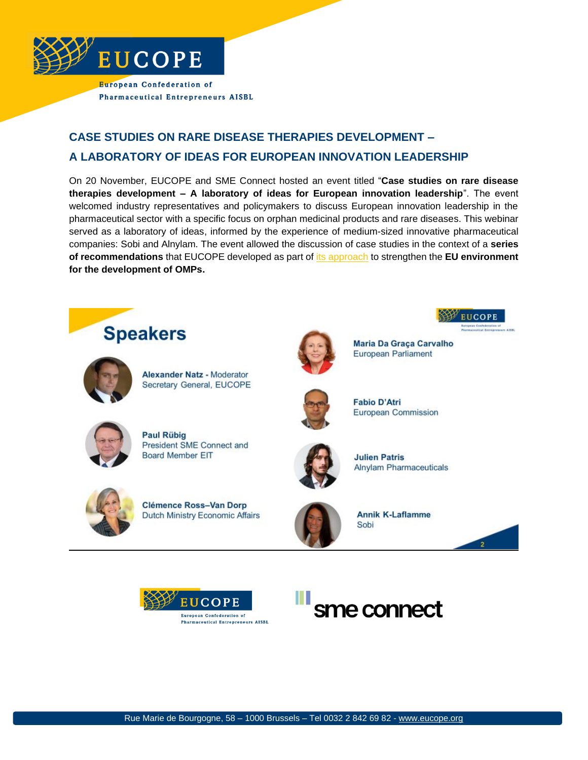

# **CASE STUDIES ON RARE DISEASE THERAPIES DEVELOPMENT – A LABORATORY OF IDEAS FOR EUROPEAN INNOVATION LEADERSHIP**

On 20 November, EUCOPE and SME Connect hosted an event titled "**Case studies on rare disease therapies development – A laboratory of ideas for European innovation leadership**". The event welcomed industry representatives and policymakers to discuss European innovation leadership in the pharmaceutical sector with a specific focus on orphan medicinal products and rare diseases. This webinar served as a laboratory of ideas, informed by the experience of medium-sized innovative pharmaceutical companies: Sobi and Alnylam. The event allowed the discussion of case studies in the context of a **series of recommendations** that EUCOPE developed as part of [its approach](https://www.eucope.org/omp-regulation-the-way-forward/) to strengthen the **EU environment for the development of OMPs.**







Rue Marie de Bourgogne, 58 – 1000 Brussels – Tel 0032 2 842 69 82 - [www.eucope.org](http://www.eucope.org/)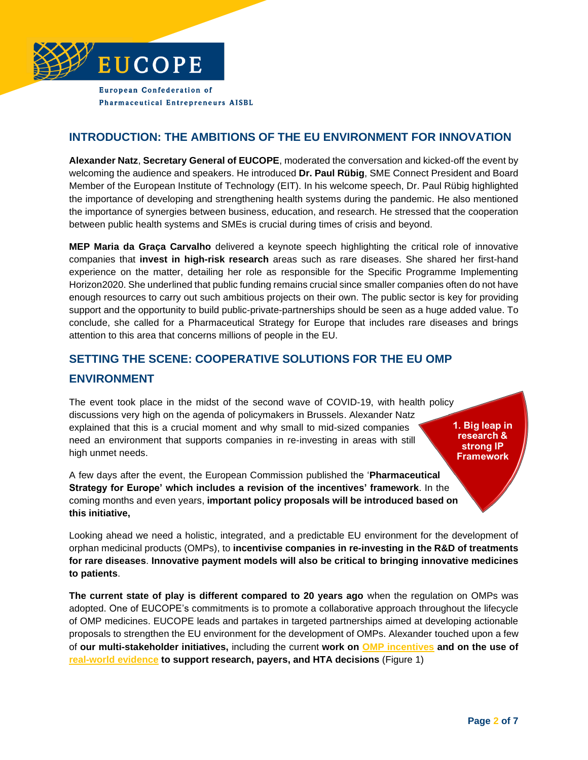

#### **INTRODUCTION: THE AMBITIONS OF THE EU ENVIRONMENT FOR INNOVATION**

**Alexander Natz**, **Secretary General of EUCOPE**, moderated the conversation and kicked-off the event by welcoming the audience and speakers. He introduced **Dr. Paul Rübig**, SME Connect President and Board Member of the European Institute of Technology (EIT). In his welcome speech, Dr. Paul Rübig highlighted the importance of developing and strengthening health systems during the pandemic. He also mentioned the importance of synergies between business, education, and research. He stressed that the cooperation between public health systems and SMEs is crucial during times of crisis and beyond.

**MEP Maria da Graça Carvalho** delivered a keynote speech highlighting the critical role of innovative companies that **invest in high-risk research** areas such as rare diseases. She shared her first-hand experience on the matter, detailing her role as responsible for the Specific Programme Implementing Horizon2020. She underlined that public funding remains crucial since smaller companies often do not have enough resources to carry out such ambitious projects on their own. The public sector is key for providing support and the opportunity to build public-private-partnerships should be seen as a huge added value. To conclude, she called for a Pharmaceutical Strategy for Europe that includes rare diseases and brings attention to this area that concerns millions of people in the EU.

#### **SETTING THE SCENE: COOPERATIVE SOLUTIONS FOR THE EU OMP**

#### **ENVIRONMENT**

The event took place in the midst of the second wave of COVID-19, with health policy discussions very high on the agenda of policymakers in Brussels. Alexander Natz explained that this is a crucial moment and why small to mid-sized companies need an environment that supports companies in re-investing in areas with still high unmet needs.

1. Big leap in research & strong IP **Framework** 

A few days after the event, the European Commission published the '**Pharmaceutical Strategy for Europe' which includes a revision of the incentives' framework**. In the coming months and even years, **important policy proposals will be introduced based on this initiative,**

Looking ahead we need a holistic, integrated, and a predictable EU environment for the development of orphan medicinal products (OMPs), to **incentivise companies in re-investing in the R&D of treatments for rare diseases**. **Innovative payment models will also be critical to bringing innovative medicines to patients**.

**The current state of play is different compared to 20 years ago** when the regulation on OMPs was adopted. One of EUCOPE's commitments is to promote a collaborative approach throughout the lifecycle of OMP medicines. EUCOPE leads and partakes in targeted partnerships aimed at developing actionable proposals to strengthen the EU environment for the development of OMPs. Alexander touched upon a few of **our multi-stakeholder initiatives,** including the current **work on [OMP incentives](https://od-expertgroup.eu/) and on the use of [real-world evidence](https://rwe4decisions.com/call-to-action/) to support research, payers, and HTA decisions** (Figure 1)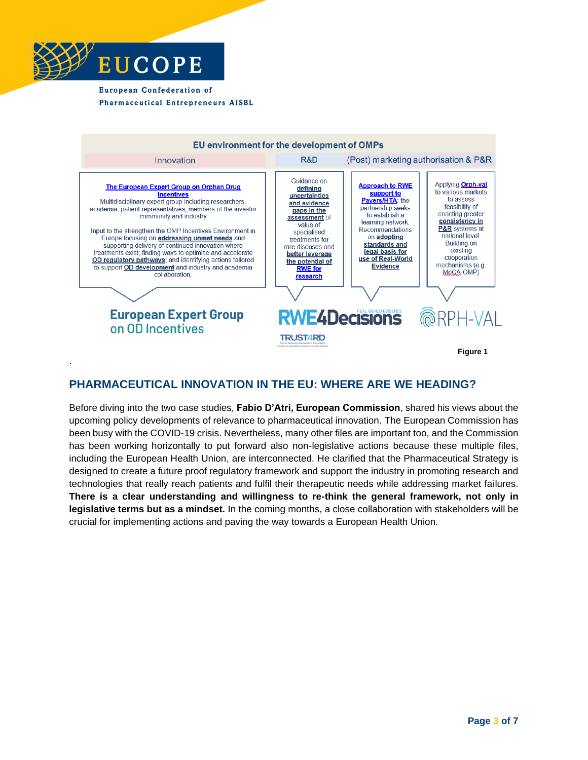



#### **PHARMACEUTICAL INNOVATION IN THE EU: WHERE ARE WE HEADING?**

Before diving into the two case studies, **Fabio D'Atri, European Commission**, shared his views about the upcoming policy developments of relevance to pharmaceutical innovation. The European Commission has been busy with the COVID-19 crisis. Nevertheless, many other files are important too, and the Commission has been working horizontally to put forward also non-legislative actions because these multiple files, including the European Health Union, are interconnected. He clarified that the Pharmaceutical Strategy is designed to create a future proof regulatory framework and support the industry in promoting research and technologies that really reach patients and fulfil their therapeutic needs while addressing market failures. **There is a clear understanding and willingness to re-think the general framework, not only in legislative terms but as a mindset.** In the coming months, a close collaboration with stakeholders will be crucial for implementing actions and paving the way towards a European Health Union.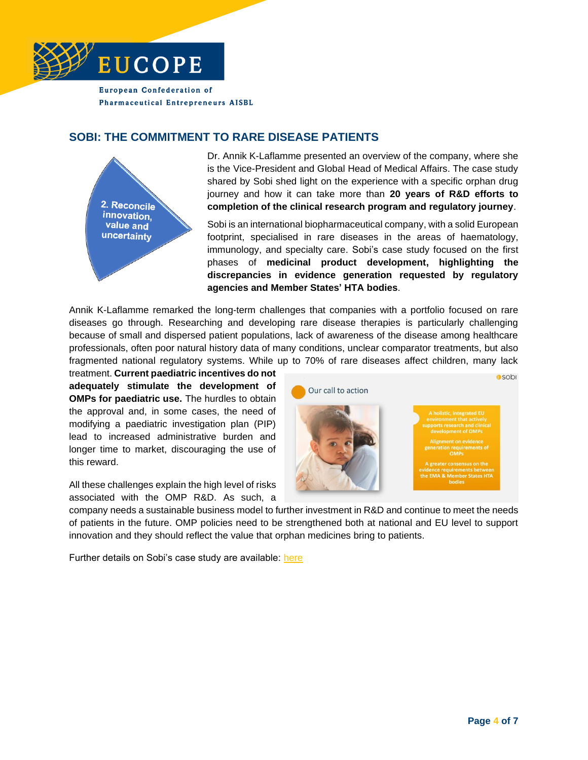

#### **SOBI: THE COMMITMENT TO RARE DISEASE PATIENTS**



Dr. Annik K-Laflamme presented an overview of the company, where she is the Vice-President and Global Head of Medical Affairs. The case study shared by Sobi shed light on the experience with a specific orphan drug journey and how it can take more than **20 years of R&D efforts to completion of the clinical research program and regulatory journey**.

Sobi is an international biopharmaceutical company, with a solid European footprint, specialised in rare diseases in the areas of haematology, immunology, and specialty care. Sobi's case study focused on the first phases of **medicinal product development, highlighting the discrepancies in evidence generation requested by regulatory agencies and Member States' HTA bodies**.

Annik K-Laflamme remarked the long-term challenges that companies with a portfolio focused on rare diseases go through. Researching and developing rare disease therapies is particularly challenging because of small and dispersed patient populations, lack of awareness of the disease among healthcare professionals, often poor natural history data of many conditions, unclear comparator treatments, but also fragmented national regulatory systems. While up to 70% of rare diseases affect children, many lack

treatment. **Current paediatric incentives do not adequately stimulate the development of OMPs for paediatric use.** The hurdles to obtain the approval and, in some cases, the need of modifying a paediatric investigation plan (PIP) lead to increased administrative burden and longer time to market, discouraging the use of this reward.

All these challenges explain the high level of risks associated with the OMP R&D. As such, a



company needs a sustainable business model to further investment in R&D and continue to meet the needs of patients in the future. OMP policies need to be strengthened both at national and EU level to support innovation and they should reflect the value that orphan medicines bring to patients.

Further details on Sobi's case study are available: [here](https://www.eucope.org/wp-content/uploads/2020/12/sobi-presentation-for-eucope-sme-connect.pdf)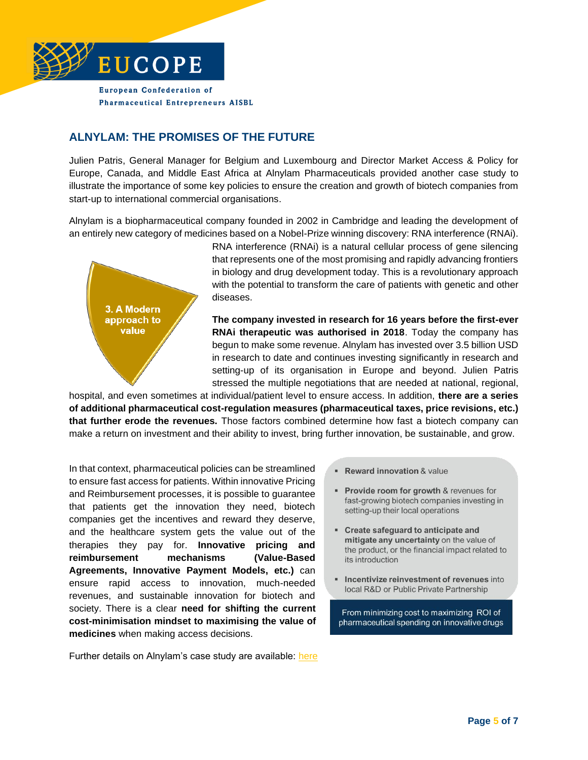

### **ALNYLAM: THE PROMISES OF THE FUTURE**

Julien Patris, General Manager for Belgium and Luxembourg and Director Market Access & Policy for Europe, Canada, and Middle East Africa at Alnylam Pharmaceuticals provided another case study to illustrate the importance of some key policies to ensure the creation and growth of biotech companies from start-up to international commercial organisations.

Alnylam is a biopharmaceutical company founded in 2002 in Cambridge and leading the development of an entirely new category of medicines based on a Nobel-Prize winning discovery: RNA interference (RNAi).



RNA interference (RNAi) is a natural cellular process of gene silencing that represents one of the most promising and rapidly advancing frontiers in biology and drug development today. This is a revolutionary approach with the potential to transform the care of patients with genetic and other diseases.

**The company invested in research for 16 years before the first-ever RNAi therapeutic was authorised in 2018**. Today the company has begun to make some revenue. Alnylam has invested over 3.5 billion USD in research to date and continues investing significantly in research and setting-up of its organisation in Europe and beyond. Julien Patris stressed the multiple negotiations that are needed at national, regional,

hospital, and even sometimes at individual/patient level to ensure access. In addition, **there are a series of additional pharmaceutical cost-regulation measures (pharmaceutical taxes, price revisions, etc.) that further erode the revenues.** Those factors combined determine how fast a biotech company can make a return on investment and their ability to invest, bring further innovation, be sustainable, and grow.

In that context, pharmaceutical policies can be streamlined to ensure fast access for patients. Within innovative Pricing and Reimbursement processes, it is possible to guarantee that patients get the innovation they need, biotech companies get the incentives and reward they deserve, and the healthcare system gets the value out of the therapies they pay for. **Innovative pricing and reimbursement mechanisms (Value-Based Agreements, Innovative Payment Models, etc.)** can ensure rapid access to innovation, much-needed revenues, and sustainable innovation for biotech and society. There is a clear **need for shifting the current cost-minimisation mindset to maximising the value of medicines** when making access decisions.

Further details on Alnylam's case study are available: [here](https://www.eucope.org/wp-content/uploads/2020/12/alnylam-presentation-for-eucope-sme-connect.pdf)

- " Reward innovation & value
- Provide room for growth & revenues for fast-growing biotech companies investing in setting-up their local operations
- Create safeguard to anticipate and mitigate any uncertainty on the value of the product, or the financial impact related to its introduction
- " Incentivize reinvestment of revenues into local R&D or Public Private Partnership

From minimizing cost to maximizing ROI of pharmaceutical spending on innovative drugs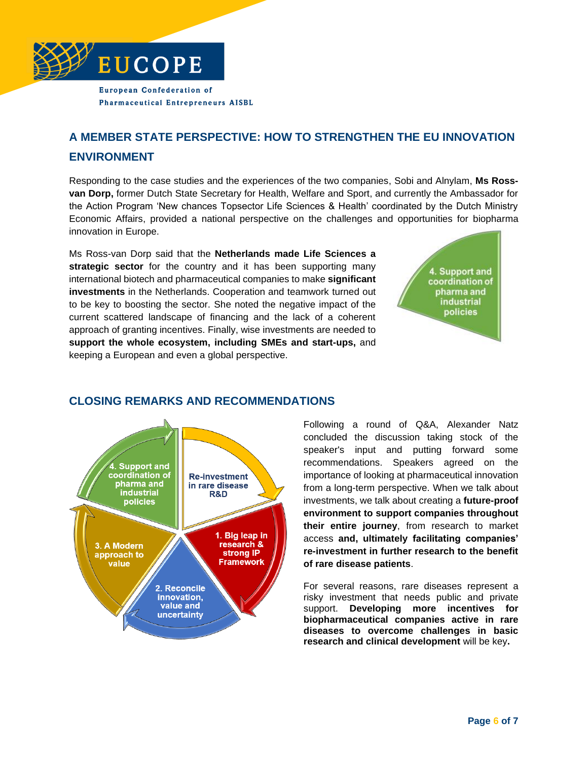

## **A MEMBER STATE PERSPECTIVE: HOW TO STRENGTHEN THE EU INNOVATION ENVIRONMENT**

Responding to the case studies and the experiences of the two companies, Sobi and Alnylam, **Ms Rossvan Dorp,** former Dutch State Secretary for Health, Welfare and Sport, and currently the Ambassador for the Action Program 'New chances Topsector Life Sciences & Health' coordinated by the Dutch Ministry Economic Affairs, provided a national perspective on the challenges and opportunities for biopharma innovation in Europe.

Ms Ross-van Dorp said that the **Netherlands made Life Sciences a**  strategic sector for the country and it has been supporting many international biotech and pharmaceutical companies to make **significant investments** in the Netherlands. Cooperation and teamwork turned out to be key to boosting the sector. She noted the negative impact of the current scattered landscape of financing and the lack of a coherent approach of granting incentives. Finally, wise investments are needed to **support the whole ecosystem, including SMEs and start-ups,** and keeping a European and even a global perspective.





### **CLOSING REMARKS AND RECOMMENDATIONS**

Following a round of Q&A, Alexander Natz concluded the discussion taking stock of the speaker's input and putting forward some recommendations. Speakers agreed on the importance of looking at pharmaceutical innovation from a long-term perspective. When we talk about investments, we talk about creating a **future-proof environment to support companies throughout their entire journey**, from research to market access **and, ultimately facilitating companies' re-investment in further research to the benefit of rare disease patients**.

For several reasons, rare diseases represent a risky investment that needs public and private support. **Developing more incentives for biopharmaceutical companies active in rare diseases to overcome challenges in basic research and clinical development** will be key**.**